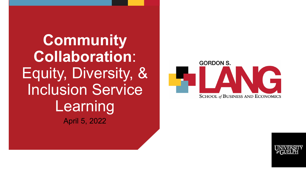**Community Collaboration**: Equity, Diversity, & Inclusion Service Learning April 5, 2022



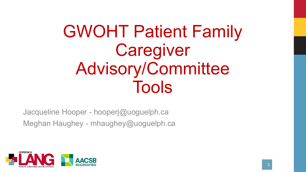# GWOHT Patient Family Caregiver Advisory/Committee Tools

Jacqueline Hooper - hooperj@uoguelph.ca Meghan Haughey - mhaughey@uoguelph.ca

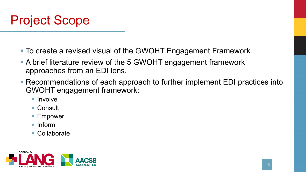

- To create a revised visual of the GWOHT Engagement Framework.
- A brief literature review of the 5 GWOHT engagement framework approaches from an EDI lens.
- Recommendations of each approach to further implement EDI practices into GWOHT engagement framework:
	- **Involve**
	- Consult
	- **Empower**
	- Inform
	- Collaborate

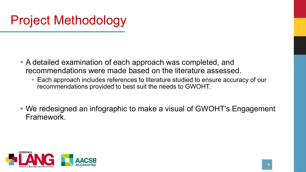## Project Methodology

- A detailed examination of each approach was completed, and recommendations were made based on the literature assessed.
	- Each approach includes references to literature studied to ensure accuracy of our recommendations provided to best suit the needs to GWOHT.
- We redesigned an infographic to make a visual of GWOHT's Engagement Framework.

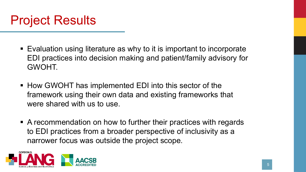

- Evaluation using literature as why to it is important to incorporate EDI practices into decision making and patient/family advisory for GWOHT.
- How GWOHT has implemented EDI into this sector of the framework using their own data and existing frameworks that were shared with us to use.
- A recommendation on how to further their practices with regards to EDI practices from a broader perspective of inclusivity as a narrower focus was outside the project scope.

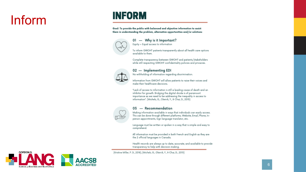## Inform

### **INFORM**

Goal: To provide the public with balanced and objective information to assist them in understanding the problem, alternative opportunities and/or solutions



### 01 - Why is it Important?

Equity = Equal access to information

To inform GWOHT patients transparently about all health care options available to them.

Complete transparency between GWOHT and patients/stakeholders while still respecting GWOHT confidentiality policies and privacies.



### 02 - Implementing EDI

No withholding of information regarding discrimination.

Information from GWOHT will allow patients to raise their voices and make their healthcare decisions.

"Lack of access to information is still a leading cause of death and an inhibitor for arowth. Bridaina the digital divide is of paramount importance as we need to be addressing the inequality in access to information". (Michels, G., Oleinik, Y., & Chai, D., 2015)



#### 03 - Recommendation

Making information available in ways that individuals can easily access. This can be done through different platforms; Website, Email, Phone, Inperson appointments, Sign language translator, etc.

Language must be written or spoken in a way that is simple and easy to comprehend.

All information must be provided in both French and English as they are the 2 official languages in Canada.

Health records are always up to date, accurate, and available to provide transparency to help with decision-making.

(Kristine Miller, P. D., 2018), (Michels, G., Oleinik, Y., & Chai, D., 2015)

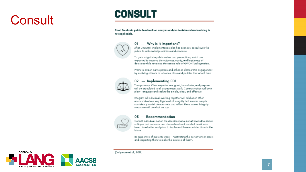## Consult

### **CONSULT**

Goal: To obtain public feedback on analysis and/or decisions when involving is not applicable.



#### 01 - Why is it Important?

After GWOHT's implementation plan has been set, consult with the public to acknowledge opinions and concerns.

To gain insight into public values and perceptions, which are expected to improve the outcomes, equity, and legitimacy of decisions while retaining the central role of GWOHT policymakers.

Promote citizen participation and enhance democratic engagement by enabling citizens to influence plans and policies that affect them



#### 02 - Implementing EDI

Transparency: Clear expectations, goals, boundaries, and purpose will be articulated in all engagement work. Communication will be in plain-language and seek to be simple, clear, and effective.

Integrity: All individuals working together will hold each other accountable to a very high level of integrity that ensures people consistently model demonstrate and reflect these values. Integrity means we will do what we say.

### 03 - Recommendation

Consult individuals not on the decision made, but afterward to discuss critiques and concerns and discuss feedback on what could have been done better and plans to implement these considerations in the future.

Be supportive of patients' wants - "activating the person's inner assets and supporting them to make the best use of them".



(Jollymore et al., 2017)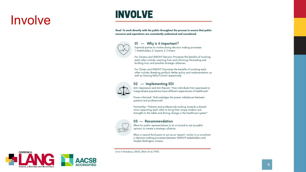### Involve

### **INVOLVE**

Goal: To work directly with the public throughout the process to ensure that public concerns and aspirations are consistently understood and considered.



#### 01 - Why is it Important?

Essential parties to involve during decision making processes: 1. Stakeholders, 2. Experts, 3. Citizens

For Citizens and GWOHT Decision Processes the benefits of Involving each other include; Learning from and informing, Persuading and building trust, and possible Strategic alliances.

For Citizen and GWOHT Outcomes the benefits of involving each other include; Breaking gridlock, Better policy and implementation, as well as Gaining Skills/Control respectively.

### 02 - Implementing EDI

Anti-Oppression and Anti-Racism: "How individuals from oppressed or marginalized populations have different experiences of healthcare"

Power-informed: "Acknowledges the power imbalances between patients and professionals"

Partnership: "Patients and professionals working towards a shared vision supporting each other to bring their unique wisdom and strengths to the table and driving change in the healthcare system"

### 03 - Recommendation

Allow for public representatives to sit on board to act as public opinion, to create a strategic alliance.

Allow a neutral third party to act as an 'expert'; similar to a consultant in decision-making processes between GWOHT stakeholders and Guelph Wellington citizens.

(Irvin & Stansbury, 2004), (Renn et al, 1993)

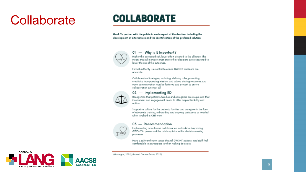### Collaborate

### **COLLABORATE**

Goal: To partner with the public in each aspect of the decision including the development of alternatives and the identification of the preferred solution



#### - Why is it Important? 01

Higher the perceived risk, lower effort devoted to the alliance. This means that all members must ensure their decisions are researched to lower the risk of the outcomes.

Formal authority is essential to ensure GWOHT decisions are accurate.

Collaboration Strategies, including: defining roles, promoting creativity, incorporating missions and values, sharing resources, and open communication must be fostered and present to ensure collaboration amongst all.



#### 02 - Implementing EDI

Recognition that patients, families and caregivers are unique and that involvement and engagement needs to offer ample flexibility and options

Supportive culture for the patients, families and caregiver in the form of adequate training, onboarding and ongoing assistance as needed when involved in OHT work

#### 03 - Recommendation

Implementing more formal collaboration methods to stay having GWOHT in power and the public opinion within decision-making processes

Have a safe and open space that all GWOHT patients and staff feel comfortable to participate in when making decisions.



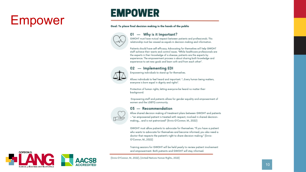## Empower

### **EMPOWER**

#### Goal: To place final decision making in the hands of the public



### 01 - Why is it Important?

GWOHT must have mutual respect between patients and professionals. This relationship must be viewed as equals in decision-making and information.

Patients should have self-efficacy. Advocating for themselves will help GWOHT staff achieve their wants and control issues. "While healthcare professionals are the experts in their knowledge of a disease, patients are the experts by experience. The empowerment process is about sharing both knowledge and experience to set new goals and learn with and from each other".



### 02 - Implementing EDI

Empowering individuals to stand up for themselves.

Allows individuals to feel heard and important. "... Every human being matters, everyone is born equal in dignity and rights".

Protection of human rights, letting everyone be heard no matter their background.

Empowering staff and patients allows for gender equality and empowerment of women and the LGBTQ community.

### 03 - Recommendation

Allow shared decision making of treatment plans between GWOHT and patients - "an empowered patient is treated with respect, involved in shared decisionmaking,... and is not patronized" (Ennis-O'Connor, M., 2022)

GWOHT must allow patients to advocate for themselves. "If you have a patient who wants to advocate for themselves and become informed, you also need a doctor that respects the patient's right to share decision making." (Ennis-O'Connor, M., 2022)

Training sessions for GWOHT will be held yearly to review patient involvement and empowerment. Both patients and GWOHT will stay informed.

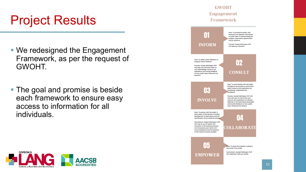### Project Results

- We redesigned the Engagement Framework, as per the request of GWOHT.
- The goal and promise is beside each framework to ensure easy access to information for all individuals.



### **GWOHT Engagement** Framework